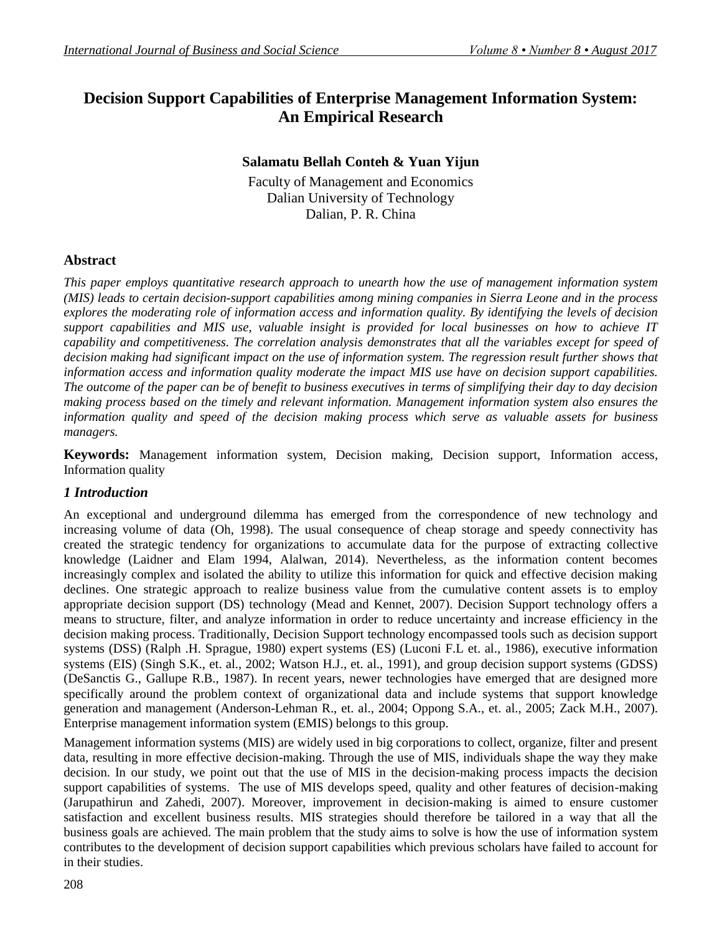# **Decision Support Capabilities of Enterprise Management Information System: An Empirical Research**

## **Salamatu Bellah Conteh & Yuan Yijun**

Faculty of Management and Economics Dalian University of Technology Dalian, P. R. China

## **Abstract**

*This paper employs quantitative research approach to unearth how the use of management information system (MIS) leads to certain decision-support capabilities among mining companies in Sierra Leone and in the process explores the moderating role of information access and information quality. By identifying the levels of decision support capabilities and MIS use, valuable insight is provided for local businesses on how to achieve IT capability and competitiveness. The correlation analysis demonstrates that all the variables except for speed of decision making had significant impact on the use of information system. The regression result further shows that information access and information quality moderate the impact MIS use have on decision support capabilities. The outcome of the paper can be of benefit to business executives in terms of simplifying their day to day decision making process based on the timely and relevant information. Management information system also ensures the information quality and speed of the decision making process which serve as valuable assets for business managers.*

**Keywords:** Management information system, Decision making, Decision support, Information access, Information quality

## *1 Introduction*

An exceptional and underground dilemma has emerged from the correspondence of new technology and increasing volume of data (Oh, 1998). The usual consequence of cheap storage and speedy connectivity has created the strategic tendency for organizations to accumulate data for the purpose of extracting collective knowledge (Laidner and Elam 1994, Alalwan, 2014). Nevertheless, as the information content becomes increasingly complex and isolated the ability to utilize this information for quick and effective decision making declines. One strategic approach to realize business value from the cumulative content assets is to employ appropriate decision support (DS) technology (Mead and Kennet, 2007). Decision Support technology offers a means to structure, filter, and analyze information in order to reduce uncertainty and increase efficiency in the decision making process. Traditionally, Decision Support technology encompassed tools such as decision support systems (DSS) (Ralph .H. Sprague, 1980) expert systems (ES) (Luconi F.L et. al., 1986), executive information systems (EIS) (Singh S.K., et. al., 2002; Watson H.J., et. al., 1991), and group decision support systems (GDSS) (DeSanctis G., Gallupe R.B., 1987). In recent years, newer technologies have emerged that are designed more specifically around the problem context of organizational data and include systems that support knowledge generation and management (Anderson-Lehman R., et. al., 2004; Oppong S.A., et. al., 2005; Zack M.H., 2007). Enterprise management information system (EMIS) belongs to this group.

Management information systems (MIS) are widely used in big corporations to collect, organize, filter and present data, resulting in more effective decision-making. Through the use of MIS, individuals shape the way they make decision. In our study, we point out that the use of MIS in the decision-making process impacts the decision support capabilities of systems. The use of MIS develops speed, quality and other features of decision-making (Jarupathirun and Zahedi, 2007). Moreover, improvement in decision-making is aimed to ensure customer satisfaction and excellent business results. MIS strategies should therefore be tailored in a way that all the business goals are achieved. The main problem that the study aims to solve is how the use of information system contributes to the development of decision support capabilities which previous scholars have failed to account for in their studies.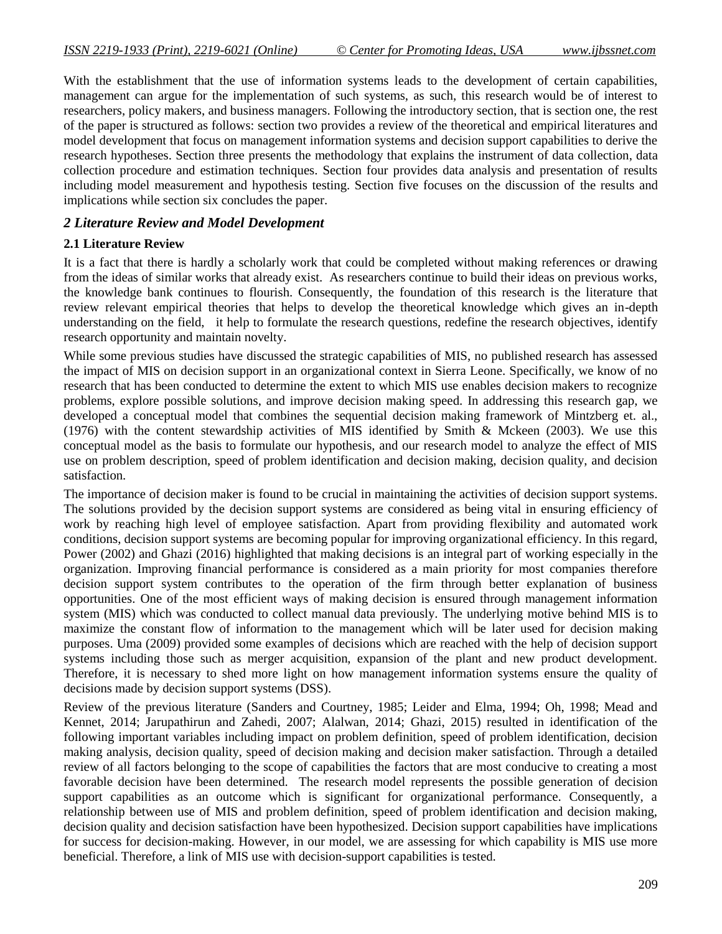With the establishment that the use of information systems leads to the development of certain capabilities, management can argue for the implementation of such systems, as such, this research would be of interest to researchers, policy makers, and business managers. Following the introductory section, that is section one, the rest of the paper is structured as follows: section two provides a review of the theoretical and empirical literatures and model development that focus on management information systems and decision support capabilities to derive the research hypotheses. Section three presents the methodology that explains the instrument of data collection, data collection procedure and estimation techniques. Section four provides data analysis and presentation of results including model measurement and hypothesis testing. Section five focuses on the discussion of the results and implications while section six concludes the paper.

#### *2 Literature Review and Model Development*

#### **2.1 Literature Review**

It is a fact that there is hardly a scholarly work that could be completed without making references or drawing from the ideas of similar works that already exist. As researchers continue to build their ideas on previous works, the knowledge bank continues to flourish. Consequently, the foundation of this research is the literature that review relevant empirical theories that helps to develop the theoretical knowledge which gives an in-depth understanding on the field, it help to formulate the research questions, redefine the research objectives, identify research opportunity and maintain novelty.

While some previous studies have discussed the strategic capabilities of MIS, no published research has assessed the impact of MIS on decision support in an organizational context in Sierra Leone. Specifically, we know of no research that has been conducted to determine the extent to which MIS use enables decision makers to recognize problems, explore possible solutions, and improve decision making speed. In addressing this research gap, we developed a conceptual model that combines the sequential decision making framework of Mintzberg et. al., (1976) with the content stewardship activities of MIS identified by Smith & Mckeen (2003). We use this conceptual model as the basis to formulate our hypothesis, and our research model to analyze the effect of MIS use on problem description, speed of problem identification and decision making, decision quality, and decision satisfaction.

The importance of decision maker is found to be crucial in maintaining the activities of decision support systems. The solutions provided by the decision support systems are considered as being vital in ensuring efficiency of work by reaching high level of employee satisfaction. Apart from providing flexibility and automated work conditions, decision support systems are becoming popular for improving organizational efficiency. In this regard, Power (2002) and Ghazi (2016) highlighted that making decisions is an integral part of working especially in the organization. Improving financial performance is considered as a main priority for most companies therefore decision support system contributes to the operation of the firm through better explanation of business opportunities. One of the most efficient ways of making decision is ensured through management information system (MIS) which was conducted to collect manual data previously. The underlying motive behind MIS is to maximize the constant flow of information to the management which will be later used for decision making purposes. Uma (2009) provided some examples of decisions which are reached with the help of decision support systems including those such as merger acquisition, expansion of the plant and new product development. Therefore, it is necessary to shed more light on how management information systems ensure the quality of decisions made by decision support systems (DSS).

Review of the previous literature (Sanders and Courtney, 1985; Leider and Elma, 1994; Oh, 1998; Mead and Kennet, 2014; Jarupathirun and Zahedi, 2007; Alalwan, 2014; Ghazi, 2015) resulted in identification of the following important variables including impact on problem definition, speed of problem identification, decision making analysis, decision quality, speed of decision making and decision maker satisfaction. Through a detailed review of all factors belonging to the scope of capabilities the factors that are most conducive to creating a most favorable decision have been determined. The research model represents the possible generation of decision support capabilities as an outcome which is significant for organizational performance. Consequently, a relationship between use of MIS and problem definition, speed of problem identification and decision making, decision quality and decision satisfaction have been hypothesized. Decision support capabilities have implications for success for decision-making. However, in our model, we are assessing for which capability is MIS use more beneficial. Therefore, a link of MIS use with decision-support capabilities is tested.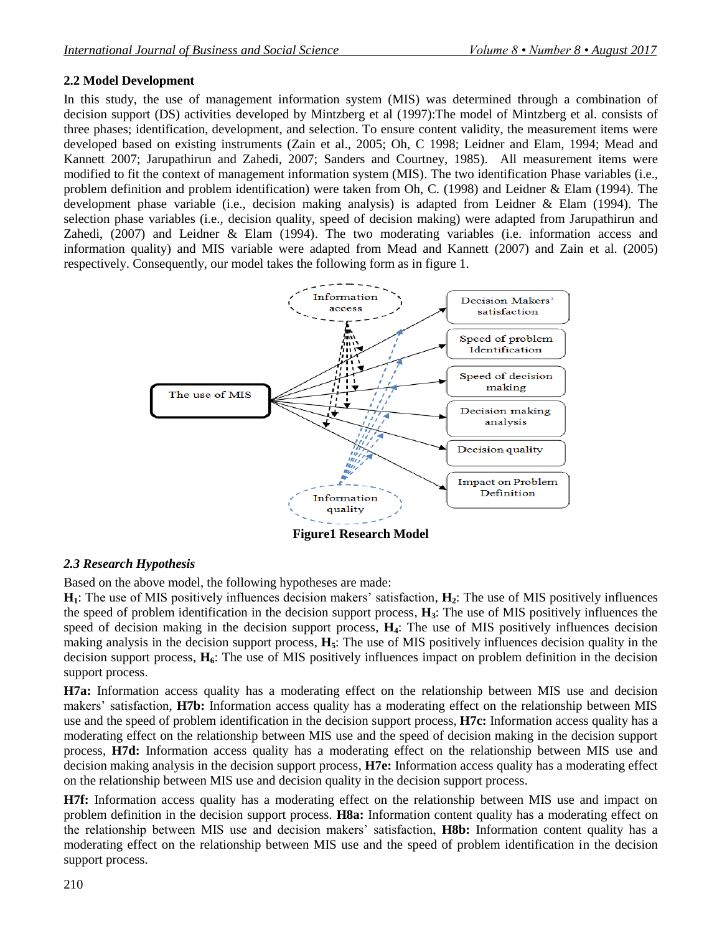## **2.2 Model Development**

In this study, the use of management information system (MIS) was determined through a combination of decision support (DS) activities developed by Mintzberg et al (1997):The model of Mintzberg et al. consists of three phases; identification, development, and selection. To ensure content validity, the measurement items were developed based on existing instruments (Zain et al., 2005; Oh, C 1998; Leidner and Elam, 1994; Mead and Kannett 2007; Jarupathirun and Zahedi, 2007; Sanders and Courtney, 1985). All measurement items were modified to fit the context of management information system (MIS). The two identification Phase variables (i.e., problem definition and problem identification) were taken from Oh, C. (1998) and Leidner & Elam (1994). The development phase variable (i.e., decision making analysis) is adapted from Leidner & Elam (1994). The selection phase variables (i.e., decision quality, speed of decision making) were adapted from Jarupathirun and Zahedi, (2007) and Leidner & Elam (1994). The two moderating variables (i.e. information access and information quality) and MIS variable were adapted from Mead and Kannett (2007) and Zain et al. (2005) respectively. Consequently, our model takes the following form as in figure 1.



## *2.3 Research Hypothesis*

Based on the above model, the following hypotheses are made:

**H1**: The use of MIS positively influences decision makers' satisfaction, **H2**: The use of MIS positively influences the speed of problem identification in the decision support process, **H3**: The use of MIS positively influences the speed of decision making in the decision support process, **H4**: The use of MIS positively influences decision making analysis in the decision support process, **H5**: The use of MIS positively influences decision quality in the decision support process, **H6**: The use of MIS positively influences impact on problem definition in the decision support process.

**H7a:** Information access quality has a moderating effect on the relationship between MIS use and decision makers' satisfaction, **H7b:** Information access quality has a moderating effect on the relationship between MIS use and the speed of problem identification in the decision support process, **H7c:** Information access quality has a moderating effect on the relationship between MIS use and the speed of decision making in the decision support process, **H7d:** Information access quality has a moderating effect on the relationship between MIS use and decision making analysis in the decision support process, **H7e:** Information access quality has a moderating effect on the relationship between MIS use and decision quality in the decision support process.

**H7f:** Information access quality has a moderating effect on the relationship between MIS use and impact on problem definition in the decision support process. **H8a:** Information content quality has a moderating effect on the relationship between MIS use and decision makers' satisfaction, **H8b:** Information content quality has a moderating effect on the relationship between MIS use and the speed of problem identification in the decision support process.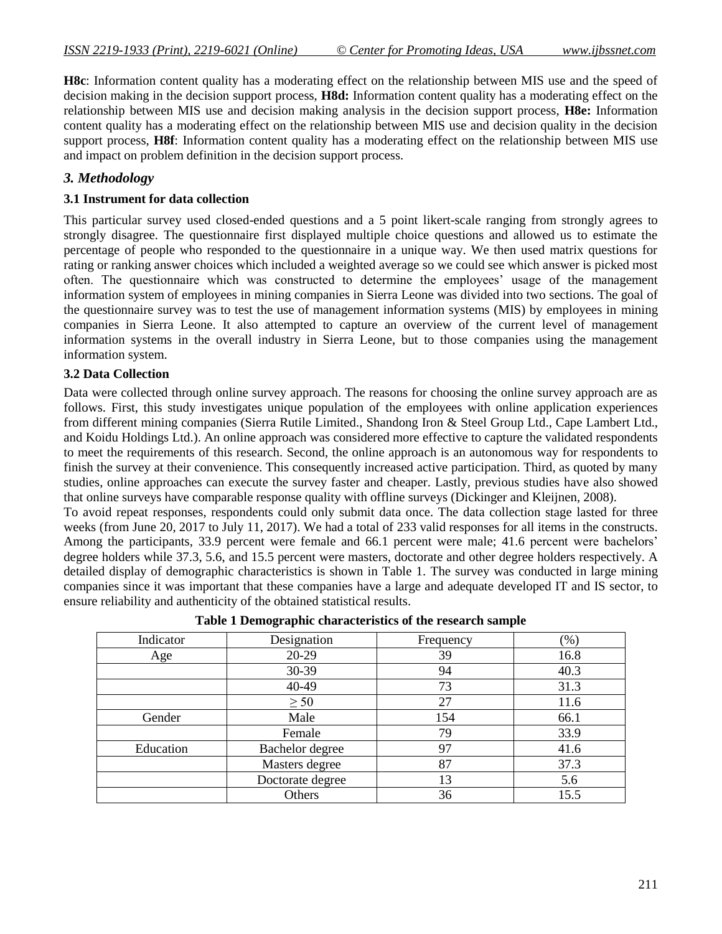**H8c**: Information content quality has a moderating effect on the relationship between MIS use and the speed of decision making in the decision support process, **H8d:** Information content quality has a moderating effect on the relationship between MIS use and decision making analysis in the decision support process, **H8e:** Information content quality has a moderating effect on the relationship between MIS use and decision quality in the decision support process, **H8f**: Information content quality has a moderating effect on the relationship between MIS use and impact on problem definition in the decision support process.

### *3. Methodology*

#### **3.1 Instrument for data collection**

This particular survey used closed-ended questions and a 5 point likert-scale ranging from strongly agrees to strongly disagree. The questionnaire first displayed multiple choice questions and allowed us to estimate the percentage of people who responded to the questionnaire in a unique way. We then used matrix questions for rating or ranking answer choices which included a weighted average so we could see which answer is picked most often. The questionnaire which was constructed to determine the employees' usage of the management information system of employees in mining companies in Sierra Leone was divided into two sections. The goal of the questionnaire survey was to test the use of management information systems (MIS) by employees in mining companies in Sierra Leone. It also attempted to capture an overview of the current level of management information systems in the overall industry in Sierra Leone, but to those companies using the management information system.

#### **3.2 Data Collection**

Data were collected through online survey approach. The reasons for choosing the online survey approach are as follows. First, this study investigates unique population of the employees with online application experiences from different mining companies (Sierra Rutile Limited., Shandong Iron & Steel Group Ltd., Cape Lambert Ltd., and Koidu Holdings Ltd.). An online approach was considered more effective to capture the validated respondents to meet the requirements of this research. Second, the online approach is an autonomous way for respondents to finish the survey at their convenience. This consequently increased active participation. Third, as quoted by many studies, online approaches can execute the survey faster and cheaper. Lastly, previous studies have also showed that online surveys have comparable response quality with offline surveys (Dickinger and Kleijnen, 2008).

To avoid repeat responses, respondents could only submit data once. The data collection stage lasted for three weeks (from June 20, 2017 to July 11, 2017). We had a total of 233 valid responses for all items in the constructs. Among the participants, 33.9 percent were female and 66.1 percent were male; 41.6 percent were bachelors' degree holders while 37.3, 5.6, and 15.5 percent were masters, doctorate and other degree holders respectively. A detailed display of demographic characteristics is shown in Table 1. The survey was conducted in large mining companies since it was important that these companies have a large and adequate developed IT and IS sector, to ensure reliability and authenticity of the obtained statistical results.

|           |                  | л.        |               |  |
|-----------|------------------|-----------|---------------|--|
| Indicator | Designation      | Frequency | $\frac{9}{6}$ |  |
| Age       | 20-29            | 39        | 16.8          |  |
|           | 30-39            | 94        | 40.3          |  |
|           | 40-49            | 73        | 31.3          |  |
|           | $\geq 50$        | 27        | 11.6          |  |
| Gender    | Male             | 154       | 66.1          |  |
|           | Female           | 79        | 33.9          |  |
| Education | Bachelor degree  | 97        | 41.6          |  |
|           | Masters degree   | 87        | 37.3          |  |
|           | Doctorate degree | 13        | 5.6           |  |
|           | Others           | 36        | 15.5          |  |

| Table 1 Demographic characteristics of the research sample |  |
|------------------------------------------------------------|--|
|------------------------------------------------------------|--|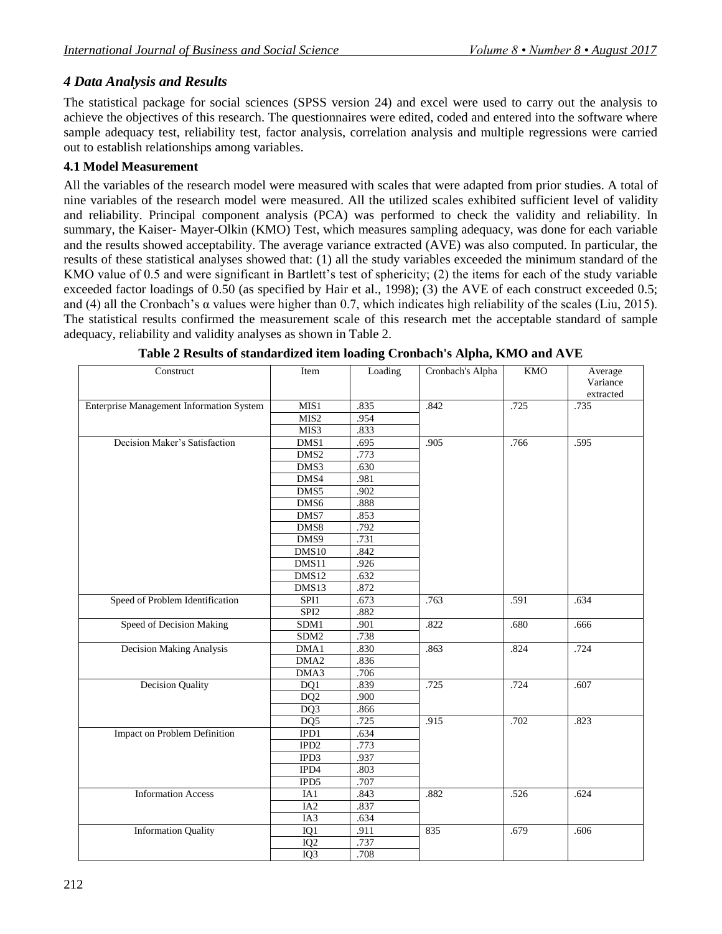### *4 Data Analysis and Results*

The statistical package for social sciences (SPSS version 24) and excel were used to carry out the analysis to achieve the objectives of this research. The questionnaires were edited, coded and entered into the software where sample adequacy test, reliability test, factor analysis, correlation analysis and multiple regressions were carried out to establish relationships among variables.

### **4.1 Model Measurement**

All the variables of the research model were measured with scales that were adapted from prior studies. A total of nine variables of the research model were measured. All the utilized scales exhibited sufficient level of validity and reliability. Principal component analysis (PCA) was performed to check the validity and reliability. In summary, the Kaiser- Mayer-Olkin (KMO) Test, which measures sampling adequacy, was done for each variable and the results showed acceptability. The average variance extracted (AVE) was also computed. In particular, the results of these statistical analyses showed that: (1) all the study variables exceeded the minimum standard of the KMO value of 0.5 and were significant in Bartlett's test of sphericity; (2) the items for each of the study variable exceeded factor loadings of 0.50 (as specified by Hair et al., 1998); (3) the AVE of each construct exceeded 0.5; and (4) all the Cronbach's α values were higher than 0.7, which indicates high reliability of the scales (Liu, 2015). The statistical results confirmed the measurement scale of this research met the acceptable standard of sample adequacy, reliability and validity analyses as shown in Table 2.

| Construct                                       | Item             | Loading | Cronbach's Alpha | KMO  | Average<br>Variance<br>extracted |
|-------------------------------------------------|------------------|---------|------------------|------|----------------------------------|
| <b>Enterprise Management Information System</b> | MIS1             | .835    | .842             | .725 | .735                             |
|                                                 | MIS <sub>2</sub> | .954    |                  |      |                                  |
|                                                 | MIS3             | .833    |                  |      |                                  |
| Decision Maker's Satisfaction                   | DMS1             | .695    | .905             | .766 | .595                             |
|                                                 | DMS <sub>2</sub> | .773    |                  |      |                                  |
|                                                 | DMS3             | .630    |                  |      |                                  |
|                                                 | DMS4             | .981    |                  |      |                                  |
|                                                 | DMS5             | .902    |                  |      |                                  |
|                                                 | DMS <sub>6</sub> | .888    |                  |      |                                  |
|                                                 | DMS7             | .853    |                  |      |                                  |
|                                                 | DMS8             | .792    |                  |      |                                  |
|                                                 | DMS9             | .731    |                  |      |                                  |
|                                                 | DMS10            | .842    |                  |      |                                  |
|                                                 | DMS11            | .926    |                  |      |                                  |
|                                                 | DMS12            | .632    |                  |      |                                  |
|                                                 | DMS13            | .872    |                  |      |                                  |
| Speed of Problem Identification                 | SPI1             | .673    | .763             | .591 | .634                             |
|                                                 | SPI <sub>2</sub> | .882    |                  |      |                                  |
| Speed of Decision Making                        | SDM1             | .901    | .822             | .680 | .666                             |
|                                                 | SDM <sub>2</sub> | .738    |                  |      |                                  |
| <b>Decision Making Analysis</b>                 | DMA1             | .830    | .863             | .824 | .724                             |
|                                                 | DMA <sub>2</sub> | .836    |                  |      |                                  |
|                                                 | DMA3             | .706    |                  |      |                                  |
| <b>Decision Quality</b>                         | DQ1              | .839    | .725             | .724 | .607                             |
|                                                 | DQ2              | .900    |                  |      |                                  |
|                                                 | DQ3              | .866    |                  |      |                                  |
|                                                 | $DQ\overline{5}$ | .725    | .915             | .702 | .823                             |
| Impact on Problem Definition                    | IPD1             | .634    |                  |      |                                  |
|                                                 | $\rm IPD2$       | .773    |                  |      |                                  |
|                                                 | IPD3             | .937    |                  |      |                                  |
|                                                 | IPD4             | .803    |                  |      |                                  |
|                                                 | IPD5             | .707    |                  |      |                                  |
| <b>Information Access</b>                       | IA1              | .843    | .882             | .526 | .624                             |
|                                                 | IA <sub>2</sub>  | .837    |                  |      |                                  |
|                                                 | IA3              | .634    |                  |      |                                  |
| <b>Information Quality</b>                      | IQ1              | .911    | 835              | .679 | .606                             |
|                                                 | IQ <sub>2</sub>  | .737    |                  |      |                                  |
|                                                 | IQ3              | .708    |                  |      |                                  |

**Table 2 Results of standardized item loading Cronbach's Alpha, KMO and AVE**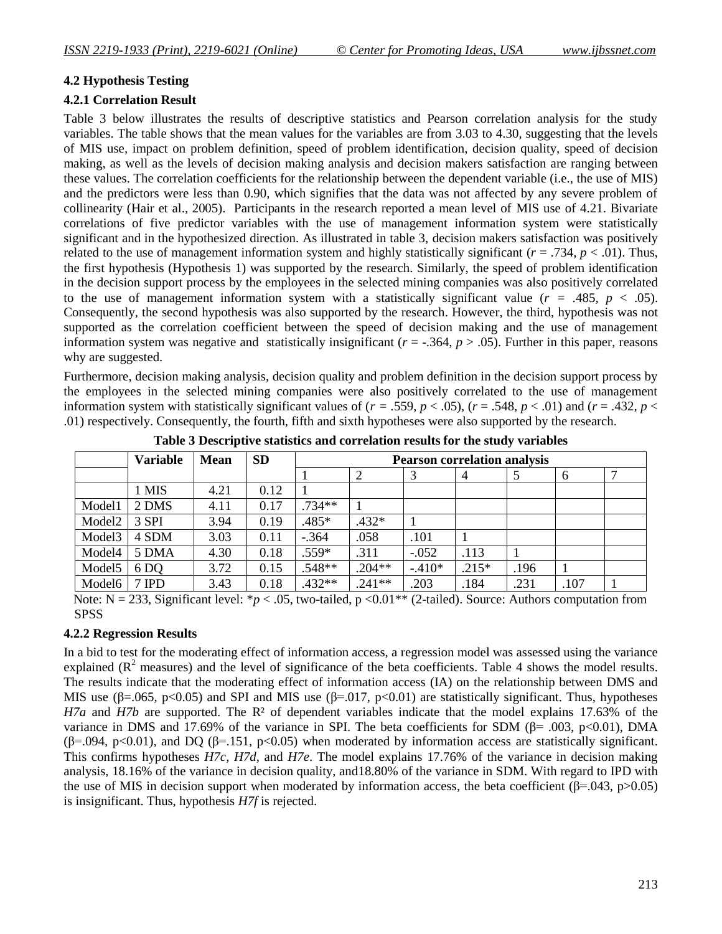#### **4.2 Hypothesis Testing**

#### **4.2.1 Correlation Result**

Table 3 below illustrates the results of descriptive statistics and Pearson correlation analysis for the study variables. The table shows that the mean values for the variables are from 3.03 to 4.30, suggesting that the levels of MIS use, impact on problem definition, speed of problem identification, decision quality, speed of decision making, as well as the levels of decision making analysis and decision makers satisfaction are ranging between these values. The correlation coefficients for the relationship between the dependent variable (i.e., the use of MIS) and the predictors were less than 0.90, which signifies that the data was not affected by any severe problem of collinearity (Hair et al., 2005). Participants in the research reported a mean level of MIS use of 4.21. Bivariate correlations of five predictor variables with the use of management information system were statistically significant and in the hypothesized direction. As illustrated in table 3, decision makers satisfaction was positively related to the use of management information system and highly statistically significant (*r* = .734, *p* < .01). Thus, the first hypothesis (Hypothesis 1) was supported by the research. Similarly, the speed of problem identification in the decision support process by the employees in the selected mining companies was also positively correlated to the use of management information system with a statistically significant value  $(r = .485, p < .05)$ . Consequently, the second hypothesis was also supported by the research. However, the third, hypothesis was not supported as the correlation coefficient between the speed of decision making and the use of management information system was negative and statistically insignificant  $(r = -.364, p > .05)$ . Further in this paper, reasons why are suggested.

Furthermore, decision making analysis, decision quality and problem definition in the decision support process by the employees in the selected mining companies were also positively correlated to the use of management information system with statistically significant values of  $(r = .559, p < .05)$ ,  $(r = .548, p < .01)$  and  $(r = .432, p < .05)$ .01) respectively. Consequently, the fourth, fifth and sixth hypotheses were also supported by the research.

|                    | <b>Variable</b> | <b>Mean</b> | <b>SD</b> | <b>Pearson correlation analysis</b> |          |          |                |      |      |  |
|--------------------|-----------------|-------------|-----------|-------------------------------------|----------|----------|----------------|------|------|--|
|                    |                 |             |           |                                     |          |          | $\overline{4}$ |      | 6    |  |
|                    | 1 MIS           | 4.21        | 0.12      |                                     |          |          |                |      |      |  |
| Model1             | 2 DMS           | 4.11        | 0.17      | $.734**$                            |          |          |                |      |      |  |
| Model <sub>2</sub> | 3 SPI           | 3.94        | 0.19      | .485*                               | $.432*$  |          |                |      |      |  |
| Model <sub>3</sub> | 4 SDM           | 3.03        | 0.11      | $-.364$                             | .058     | .101     |                |      |      |  |
| Model4             | 5 DMA           | 4.30        | 0.18      | $.559*$                             | .311     | $-.052$  | .113           |      |      |  |
| Model <sub>5</sub> | 6 DQ            | 3.72        | 0.15      | .548**                              | $.204**$ | $-.410*$ | $.215*$        | .196 |      |  |
| Model6             | 7 IPD           | 3.43        | 0.18      | $.432**$                            | $.241**$ | .203     | .184           | .231 | .107 |  |

**Table 3 Descriptive statistics and correlation results for the study variables**

Note:  $N = 233$ , Significant level: \**p* < .05, two-tailed, p < 0.01<sup>\*\*</sup> (2-tailed). Source: Authors computation from **SPSS** 

### **4.2.2 Regression Results**

In a bid to test for the moderating effect of information access, a regression model was assessed using the variance explained  $(R^2$  measures) and the level of significance of the beta coefficients. Table 4 shows the model results. The results indicate that the moderating effect of information access (IA) on the relationship between DMS and MIS use ( $\beta$ =.065, p<0.05) and SPI and MIS use ( $\beta$ =.017, p<0.01) are statistically significant. Thus, hypotheses *H7a* and *H7b* are supported. The R² of dependent variables indicate that the model explains 17.63% of the variance in DMS and 17.69% of the variance in SPI. The beta coefficients for SDM ( $\beta$ = .003, p<0.01), DMA ( $\beta$ =.094, p<0.01), and DQ ( $\beta$ =.151, p<0.05) when moderated by information access are statistically significant. This confirms hypotheses *H7c*, *H7d*, and *H7e*. The model explains 17.76% of the variance in decision making analysis, 18.16% of the variance in decision quality, and18.80% of the variance in SDM. With regard to IPD with the use of MIS in decision support when moderated by information access, the beta coefficient ( $\beta$ =.043, p>0.05) is insignificant. Thus, hypothesis *H7f* is rejected.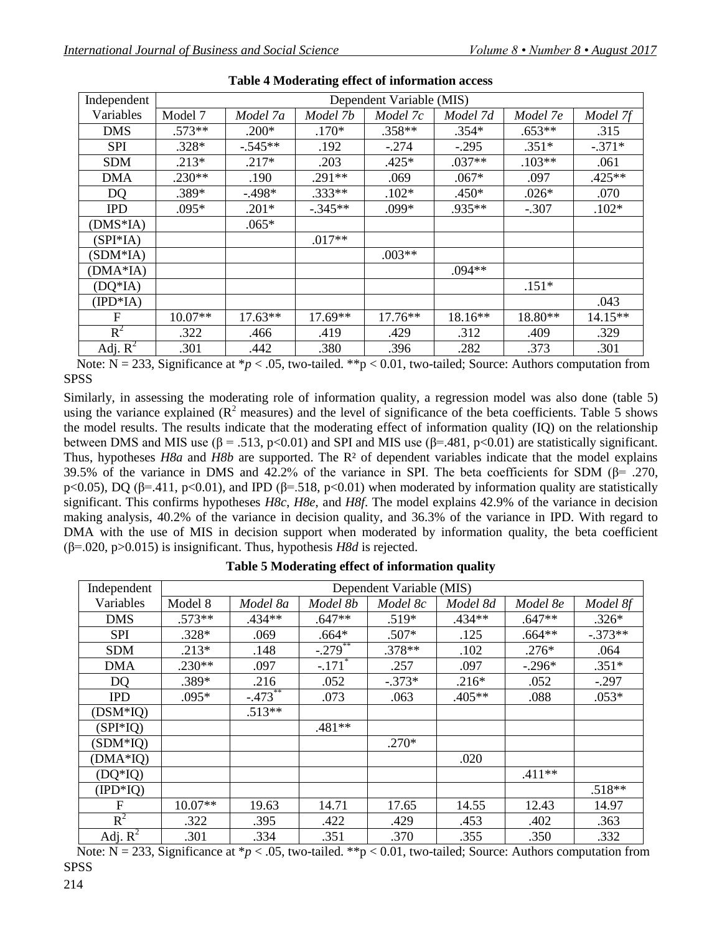| Independent | Dependent Variable (MIS) |           |           |           |          |          |          |  |
|-------------|--------------------------|-----------|-----------|-----------|----------|----------|----------|--|
| Variables   | Model 7                  | Model 7a  | Model 7b  | Model 7c  | Model 7d | Model 7e | Model 7f |  |
| <b>DMS</b>  | $.573**$                 | $.200*$   | $.170*$   | $.358**$  | $.354*$  | $.653**$ | .315     |  |
| <b>SPI</b>  | $.328*$                  | $-.545**$ | .192      | $-.274$   | $-.295$  | $.351*$  | $-.371*$ |  |
| <b>SDM</b>  | $.213*$                  | $.217*$   | .203      | $.425*$   | $.037**$ | $.103**$ | .061     |  |
| <b>DMA</b>  | $.230**$                 | .190      | $.291**$  | .069      | $.067*$  | .097     | $.425**$ |  |
| <b>DQ</b>   | .389*                    | $-0.498*$ | $.333**$  | $.102*$   | $.450*$  | $.026*$  | .070     |  |
| <b>IPD</b>  | $.095*$                  | $.201*$   | $-.345**$ | .099*     | .935**   | $-.307$  | $.102*$  |  |
| $(DMS*IA)$  |                          | $.065*$   |           |           |          |          |          |  |
| $(SPI*IA)$  |                          |           | $.017**$  |           |          |          |          |  |
| $(SDM*IA)$  |                          |           |           | $.003**$  |          |          |          |  |
| $(DMA*IA)$  |                          |           |           |           | $.094**$ |          |          |  |
| $(DQ*IA)$   |                          |           |           |           |          | $.151*$  |          |  |
| $(IPD*IA)$  |                          |           |           |           |          |          | .043     |  |
| F           | $10.07**$                | $17.63**$ | 17.69**   | $17.76**$ | 18.16**  | 18.80**  | 14.15**  |  |
| $R^2$       | .322                     | .466      | .419      | .429      | .312     | .409     | .329     |  |
| Adj. $R^2$  | .301                     | .442      | .380      | .396      | .282     | .373     | .301     |  |

|  |  |  | <b>Table 4 Moderating effect of information access</b> |  |
|--|--|--|--------------------------------------------------------|--|
|--|--|--|--------------------------------------------------------|--|

Note:  $N = 233$ , Significance at  $p < .05$ , two-tailed. \*\*p < 0.01, two-tailed; Source: Authors computation from **SPSS** 

Similarly, in assessing the moderating role of information quality, a regression model was also done (table 5) using the variance explained  $(R^2$  measures) and the level of significance of the beta coefficients. Table 5 shows the model results. The results indicate that the moderating effect of information quality (IQ) on the relationship between DMS and MIS use ( $\beta = .513$ , p<0.01) and SPI and MIS use ( $\beta = .481$ , p<0.01) are statistically significant. Thus, hypotheses *H8a* and *H8b* are supported. The R² of dependent variables indicate that the model explains 39.5% of the variance in DMS and 42.2% of the variance in SPI. The beta coefficients for SDM ( $\beta$ = .270, p<0.05), DQ ( $\beta$ =.411, p<0.01), and IPD ( $\beta$ =.518, p<0.01) when moderated by information quality are statistically significant. This confirms hypotheses *H8c*, *H8e*, and *H8f*. The model explains 42.9% of the variance in decision making analysis, 40.2% of the variance in decision quality, and 36.3% of the variance in IPD. With regard to DMA with the use of MIS in decision support when moderated by information quality, the beta coefficient (β=.020, p>0.015) is insignificant. Thus, hypothesis *H8d* is rejected.

| Independent    | Dependent Variable (MIS) |          |                      |          |          |          |           |  |
|----------------|--------------------------|----------|----------------------|----------|----------|----------|-----------|--|
| Variables      | Model 8                  | Model 8a | Model 8b             | Model 8c | Model 8d | Model 8e | Model 8f  |  |
| <b>DMS</b>     | $.573**$                 | $.434**$ | $.647**$             | $.519*$  | $.434**$ | $.647**$ | $.326*$   |  |
| <b>SPI</b>     | $.328*$                  | .069     | $.664*$              | $.507*$  | .125     | $.664**$ | $-.373**$ |  |
| <b>SDM</b>     | $.213*$                  | .148     | $-.279$              | $.378**$ | .102     | $.276*$  | .064      |  |
| <b>DMA</b>     | $.230**$                 | .097     | $-.171$ <sup>*</sup> | .257     | .097     | $-.296*$ | $.351*$   |  |
| D <sub>Q</sub> | .389*                    | .216     | .052                 | $-.373*$ | $.216*$  | .052     | $-.297$   |  |
| <b>IPD</b>     | $.095*$                  | $-473$   | .073                 | .063     | $.405**$ | .088     | $.053*$   |  |
| $(DSM*IO)$     |                          | $.513**$ |                      |          |          |          |           |  |
| $(SPI*IO)$     |                          |          | $.481**$             |          |          |          |           |  |
| $(SDM*IQ)$     |                          |          |                      | $.270*$  |          |          |           |  |
| $(DMA*IO)$     |                          |          |                      |          | .020     |          |           |  |
| $(DQ*IQ)$      |                          |          |                      |          |          | $.411**$ |           |  |
| $(IPD*IO)$     |                          |          |                      |          |          |          | $.518**$  |  |
| F              | $10.07**$                | 19.63    | 14.71                | 17.65    | 14.55    | 12.43    | 14.97     |  |
| $R^2$          | .322                     | .395     | .422                 | .429     | .453     | .402     | .363      |  |
| Adj. $R^2$     | .301                     | .334     | .351                 | .370     | .355     | .350     | .332      |  |

**Table 5 Moderating effect of information quality**

Note:  $N = 233$ , Significance at  $p < .05$ , two-tailed. \*\*p < 0.01, two-tailed; Source: Authors computation from **SPSS**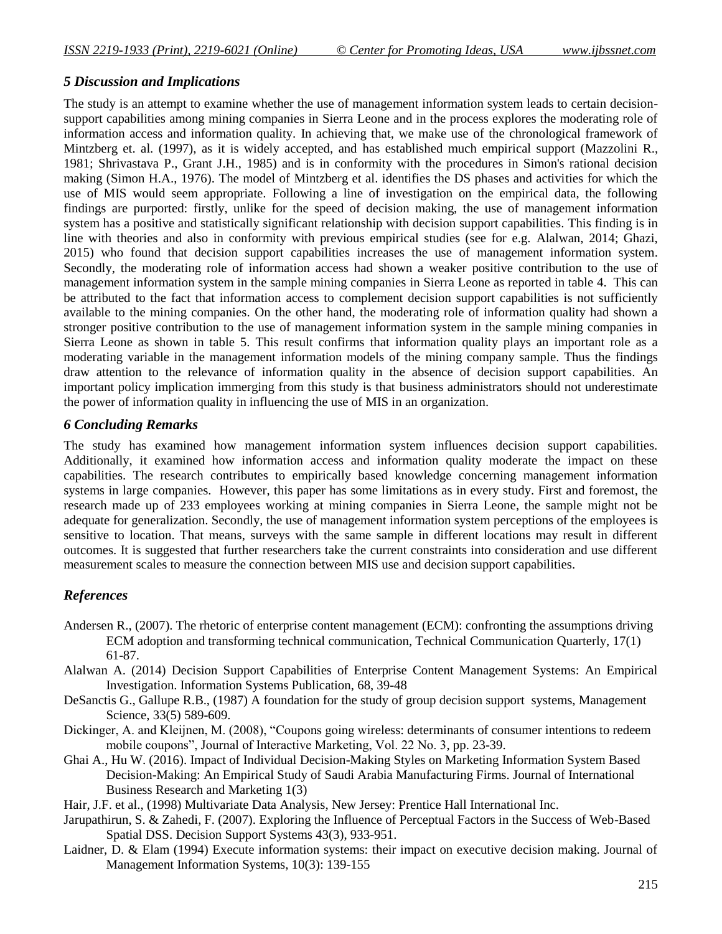### *5 Discussion and Implications*

The study is an attempt to examine whether the use of management information system leads to certain decisionsupport capabilities among mining companies in Sierra Leone and in the process explores the moderating role of information access and information quality. In achieving that, we make use of the chronological framework of Mintzberg et. al. (1997), as it is widely accepted, and has established much empirical support (Mazzolini R., 1981; Shrivastava P., Grant J.H., 1985) and is in conformity with the procedures in Simon's rational decision making (Simon H.A., 1976). The model of Mintzberg et al. identifies the DS phases and activities for which the use of MIS would seem appropriate. Following a line of investigation on the empirical data, the following findings are purported: firstly, unlike for the speed of decision making, the use of management information system has a positive and statistically significant relationship with decision support capabilities. This finding is in line with theories and also in conformity with previous empirical studies (see for e.g. Alalwan, 2014; Ghazi, 2015) who found that decision support capabilities increases the use of management information system. Secondly, the moderating role of information access had shown a weaker positive contribution to the use of management information system in the sample mining companies in Sierra Leone as reported in table 4. This can be attributed to the fact that information access to complement decision support capabilities is not sufficiently available to the mining companies. On the other hand, the moderating role of information quality had shown a stronger positive contribution to the use of management information system in the sample mining companies in Sierra Leone as shown in table 5. This result confirms that information quality plays an important role as a moderating variable in the management information models of the mining company sample. Thus the findings draw attention to the relevance of information quality in the absence of decision support capabilities. An important policy implication immerging from this study is that business administrators should not underestimate the power of information quality in influencing the use of MIS in an organization.

#### *6 Concluding Remarks*

The study has examined how management information system influences decision support capabilities. Additionally, it examined how information access and information quality moderate the impact on these capabilities. The research contributes to empirically based knowledge concerning management information systems in large companies. However, this paper has some limitations as in every study. First and foremost, the research made up of 233 employees working at mining companies in Sierra Leone, the sample might not be adequate for generalization. Secondly, the use of management information system perceptions of the employees is sensitive to location. That means, surveys with the same sample in different locations may result in different outcomes. It is suggested that further researchers take the current constraints into consideration and use different measurement scales to measure the connection between MIS use and decision support capabilities.

### *References*

- Andersen R., (2007). The rhetoric of enterprise content management (ECM): confronting the assumptions driving ECM adoption and transforming technical communication, Technical Communication Quarterly, 17(1) 61-87.
- Alalwan A. (2014) Decision Support Capabilities of Enterprise Content Management Systems: An Empirical Investigation. Information Systems Publication, 68, 39-48
- DeSanctis G., Gallupe R.B., (1987) A foundation for the study of group decision support systems, Management Science, 33(5) 589-609.
- Dickinger, A. and Kleijnen, M. (2008), "Coupons going wireless: determinants of consumer intentions to redeem mobile coupons", Journal of Interactive Marketing, Vol. 22 No. 3, pp. 23-39.
- Ghai A., Hu W. (2016). Impact of Individual Decision-Making Styles on Marketing Information System Based Decision-Making: An Empirical Study of Saudi Arabia Manufacturing Firms. Journal of International Business Research and Marketing 1(3)
- Hair, J.F. et al., (1998) Multivariate Data Analysis, New Jersey: Prentice Hall International Inc.
- Jarupathirun, S. & Zahedi, F. (2007). Exploring the Influence of Perceptual Factors in the Success of Web-Based Spatial DSS. Decision Support Systems 43(3), 933-951.
- Laidner, D. & Elam (1994) Execute information systems: their impact on executive decision making. Journal of Management Information Systems, 10(3): 139-155